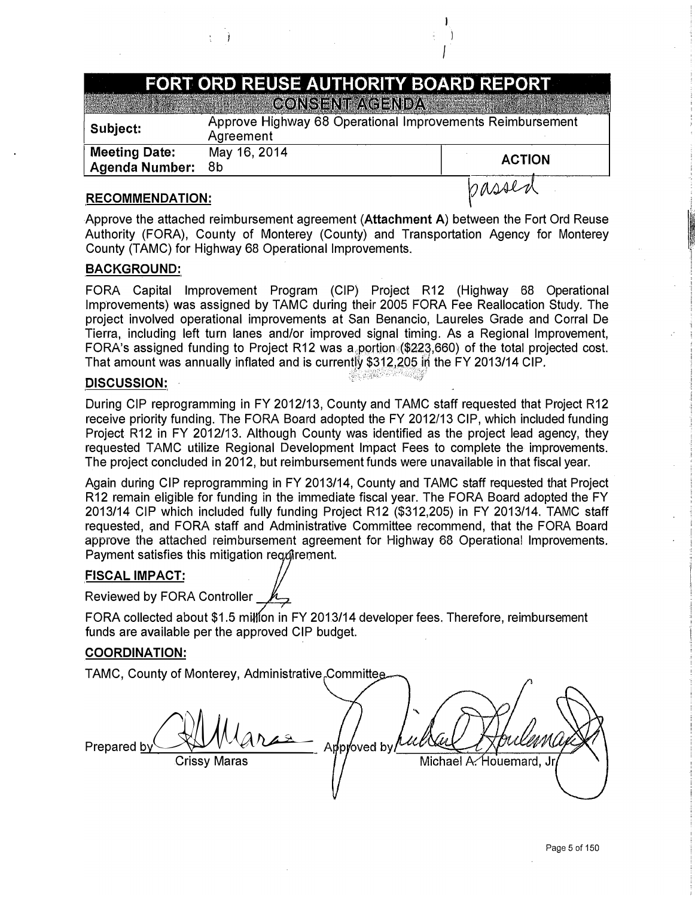# **FORT ORD REUSE AUTHORITY BOARD REPORT**

I  $\overline{)}$ *I* 

**A BULLET AND A BULLET AND A BULLET AT A BULLET AT A BULLET AT A BULLET AT A BULLET AT A BULLET AT A BULLET AT** 

| Subject:                                      | Approve Highway 68 Operational Improvements Reimbursement<br>Agreement |               |
|-----------------------------------------------|------------------------------------------------------------------------|---------------|
| <b>Meeting Date:</b><br><b>Agenda Number:</b> | May 16, 2014<br>- 8b                                                   | <b>ACTION</b> |
| <b>RECOMMENDATION:</b>                        |                                                                        | passed        |

### **RECOMMENDATION:**

Approve the attached reimbursement agreement **(Attachment A)** between the Fort Ord Reuse Authority (FORA), County of Monterey (County) and Transportation Agency for Monterey County (TAMC) for Highway 68 Operational Improvements.

## **BACKGROUND:**

FORA Capital Improvement Program (CIP) Project R12 (Highway 68 Operational Improvements) was assigned by TAMC during their 2005 FORA Fee Reallocation Study. The project involved operational improvements at San Benancio, Laureles Grade and Corral De Tierra, including left turn lanes and/or improved signal timing. As a Regional Improvement, FORA's assigned funding to Project R12 was a portion (\$223,660) of the total projected cost. That amount was annually inflated and is currently \$312,205 in the FY 2013/14 CIP.

#### **DISCUSSION:**

During CIP reprogramming in FY 2012/13, County and TAMC staff requested that Project R12 receive priority funding. The FORA Board adopted the FY 2012/13 CIP, which included funding Project R12 in FY 2012/13. Although County was identified as the project lead agency, they requested TAMC utilize Regional Development Impact Fees to complete the improvements. The project concluded in 2012, but reimbursement funds were unavailable in that fiscal year.

Again during CIP reprogramming in FY 2013/14, County and TAMC staff requested that Project R12 remain eligible for funding in the immediate fiscal year. The FORA Board adopted the FY 2013/14 GIP which included fully funding Project R12 (\$312,205) in FY 2013/14. TAMC staff requested, and FORA staff and Administrative Committee recommend, that the FORA Board approve the attached reimbursement agreement for Highway 68 Operational Improvements. Payment satisfies this mitigation regarement.

## **FISCAL IMPACT:**

Reviewed by FORA Controller\_\_,....\_\_....

FORA collected about \$1.5 million in FY 2013/14 developer fees. Therefore, reimbursement funds are available per the approved CIP budget.

#### **COORDINATION:**

TAMC, County of Monterey, Administrative Committee Approved by Prepared by Michael A. Houemard, Jr Crissy Maras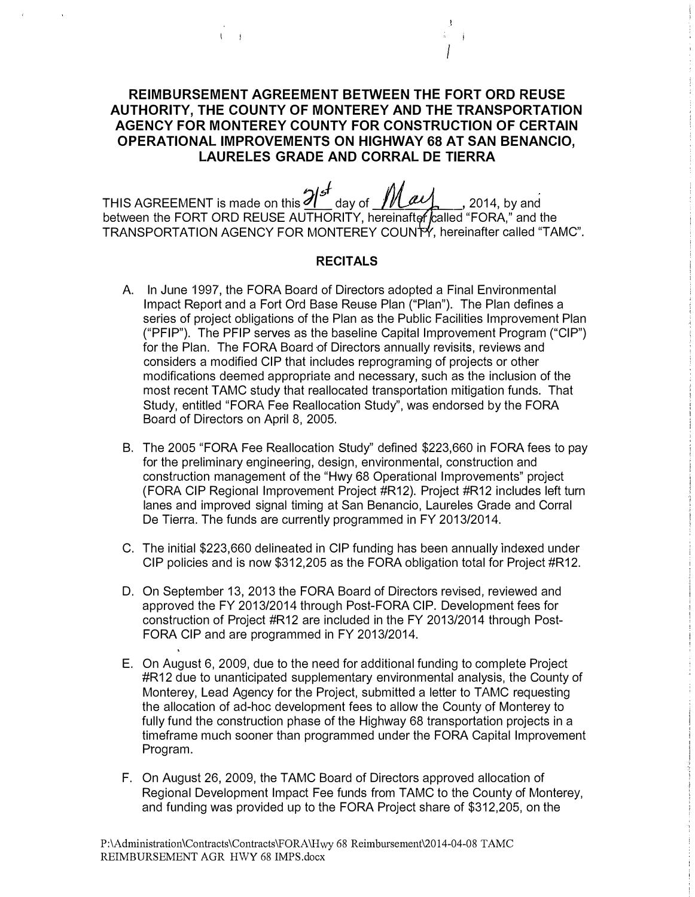## **REIMBURSEMENT AGREEMENT BETWEEN THE FORT ORD REUSE AUTHORITY, THE COUNTY OF MONTEREY AND THE TRANSPORTATION AGENCY FOR MONTEREY COUNTY FOR CONSTRUCTION OF CERTAIN OPERATIONAL IMPROVEMENTS ON HIGHWAY 68 AT SAN BENANCIO, LAURELES GRADE AND CORRAL DE TIERRA**

THIS AGREEMENT is made on this  $2!^{s}$  day of  $\mathcal{M}$ au,  $\ldots$ , 2014, by and between the FORT ORD REUSE AUTHORITY, hereinafter called "FORA," and the TRANSPORTATION AGENCY FOR MONTEREY COUNTY, hereinafter called "TAMC".

#### **RECITALS**

- A. In June 1997, the FORA Board of Directors adopted a Final Environmental Impact Report and a Fort Ord Base Reuse Plan ("Plan"). The Plan defines a series of project obligations of the Plan as the Public Facilities Improvement Plan ("PFIP"). The PFIP serves as the baseline Capital Improvement Program ("GIP") for the Plan. The FORA Board of Directors annually revisits, reviews and considers a modified CIP that includes reprograming of projects or other modifications deemed appropriate and necessary, such as the inclusion of the most recent TAMC study that reallocated transportation mitigation funds. That Study, entitled "FORA Fee Reallocation Study", was endorsed by the FORA Board of Directors on April 8, 2005.
- B. The 2005 "FORA Fee Reallocation Study" defined \$223,660 in FORA fees to pay for the preliminary engineering, design, environmental, construction and construction management of the "Hwy 68 Operational Improvements" project (FORA CIP Regional Improvement Project #R12). Project #R12 includes left turn lanes and improved signal timing at San Benancio, Laureles Grade and Corral De Tierra. The funds are currently programmed in FY 2013/2014.
- C. The initial \$223,660 delineated in CIP funding has been annually indexed under CIP policies and is now \$312,205 as the FORA obligation total for Project #R12.
- D. On September 13, 2013 the FORA Board of Directors revised, reviewed and approved the FY 2013/2014 through Post-FORA CIP. Development fees for construction of Project #R12 are included in the FY 2013/2014 through Post-FORA CIP and are programmed in FY 2013/2014.
- E. On August 6, 2009, due to the need for additional funding to complete Project #R12 due to unanticipated supplementary environmental analysis, the County of Monterey, Lead Agency for the Project, submitted a letter to TAMC requesting the allocation of ad-hoc development fees to allow the County of Monterey to fully fund the construction phase of the Highway 68 transportation projects in a timeframe much sooner than programmed under the FORA Capital Improvement Program.
- F. On August 26, 2009, the TAMC Board of Directors approved allocation of Regional Development Impact Fee funds from TAMC to the County of Monterey, and funding was provided up to the FORA Project share of \$312,205, on the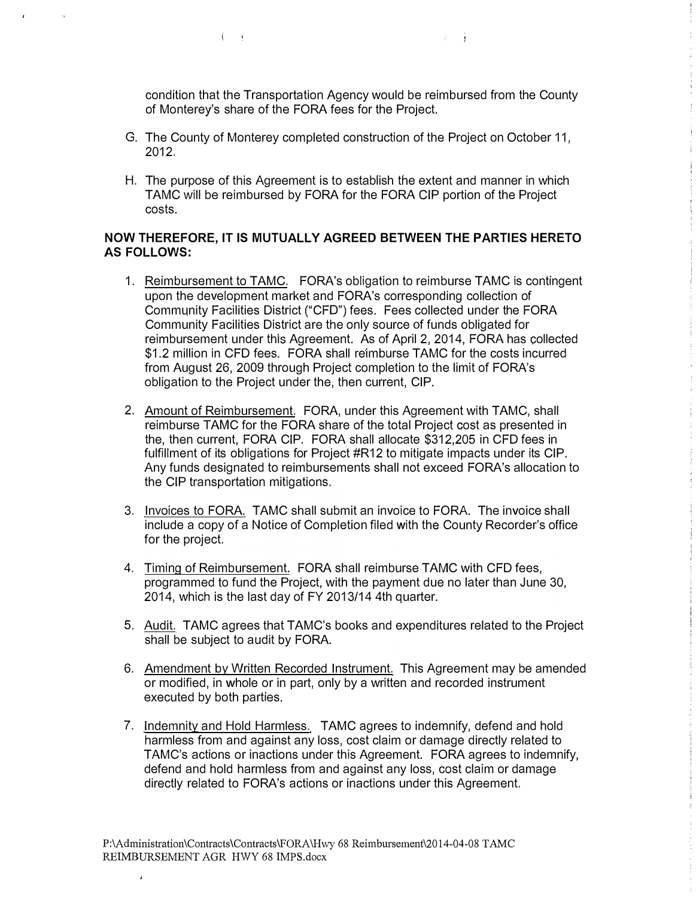condition that the Transportation Agency would be reimbursed from the County of Monterey's share of the FORA fees for the Project.

 $\mathbf{r} = \mathbf{r}$ 

G. The County of Monterey completed construction of the Project on October 11, 2012.

 $\left( \begin{array}{cc} 0 & 0 \\ 0 & 0 \end{array} \right)$ 

 $\mathbf{r}$ 

H. The purpose of this Agreement is to establish the extent and manner in which TAMC will be reimbursed by FORA for the FORA CIP portion of the Project costs.

## **NOW THEREFORE,** IT **IS MUTUALLY AGREED BETWEEN THE PARTIES HERETO AS FOLLOWS:**

- 1. Reimbursement to TAMC. FORA's obligation to reimburse TAMC is contingent upon the development market and FORA's corresponding collection of Community Facilities District ("CFO") fees. Fees collected under the FORA Community Facilities District are the only source of funds obligated for reimbursement under this Agreement. As of April 2, 2014, FORA has collected \$1.2 million in CFD fees. FORA shall reimburse TAMC for the costs incurred from August 26, 2009 through Project completion to the limit of FORA's obligation to the Project under the, then current, CIP.
- 2. Amount of Reimbursement. FORA, under this Agreement with TAMC, shall reimburse TAMC for the FORA share of the total Project cost as presented in the, then current, FORA CIP. FORA shall allocate \$312,205 in CFD fees in fulfillment of its obligations for Project #R12 to mitigate impacts under its CIP. Any funds designated to reimbursements shall not exceed FORA's allocation to the CIP transportation mitigations.
- 3. Invoices to FORA. TAMC shall submit an invoice to FORA. The invoice shall include a copy of a Notice of Completion filed with the County Recorder's office for the project.
- 4. Timing of Reimbursement. FORA shall reimburse TAMC with CFD fees, programmed to fund the Project, with the payment due no later than June 30, 2014, which is the last day of FY 2013/14 4th quarter.
- 5. Audit. TAMC agrees that TAMC's books and expenditures related to the Project shall be subject to audit by FORA.
- 6. Amendment by Written Recorded Instrument. This Agreement may be amended or modified, in whole or in part, only by a written and recorded instrument executed by both parties.
- 7. Indemnity and Hold Harmless. TAMC agrees to indemnify, defend and hold harmless from and against any loss, cost claim or damage directly related to TAMC's actions or inactions under this Agreement. FORA agrees to indemnify, defend and hold harmless from and against any loss, cost claim or damage directly related to FORA's actions or inactions under this Agreement.

 $\lambda$